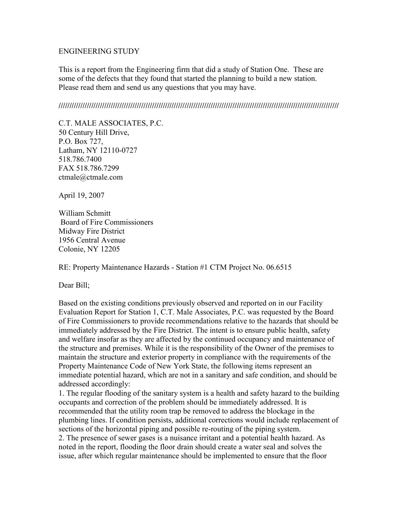## ENGINEERING STUDY

This is a report from the Engineering firm that did a study of Station One. These are some of the defects that they found that started the planning to build a new station. Please read them and send us any questions that you may have.

**/////////////////////////////////////////////////////////////////////////////////////////////////////////////////////////////////** 

C.T. MALE ASSOCIATES, P.C. 50 Century Hill Drive, P.O. Box 727, Latham, NY 12110-0727 518.786.7400 FAX 518.786.7299 ctmale@ctmale.com

April 19, 2007

William Schmitt Board of Fire Commissioners Midway Fire District 1956 Central Avenue Colonie, NY 12205

RE: Property Maintenance Hazards - Station #1 CTM Project No. 06.6515

Dear Bill;

Based on the existing conditions previously observed and reported on in our Facility Evaluation Report for Station 1, C.T. Male Associates, P.C. was requested by the Board of Fire Commissioners to provide recommendations relative to the hazards that should be immediately addressed by the Fire District. The intent is to ensure public health, safety and welfare insofar as they are affected by the continued occupancy and maintenance of the structure and premises. While it is the responsibility of the Owner of the premises to maintain the structure and exterior property in compliance with the requirements of the Property Maintenance Code of New York State, the following items represent an immediate potential hazard, which are not in a sanitary and safe condition, and should be addressed accordingly:

1. The regular flooding of the sanitary system is a health and safety hazard to the building occupants and correction of the problem should be immediately addressed. It is recommended that the utility room trap be removed to address the blockage in the plumbing lines. If condition persists, additional corrections would include replacement of sections of the horizontal piping and possible re-routing of the piping system.

2. The presence of sewer gases is a nuisance irritant and a potential health hazard. As noted in the report, flooding the floor drain should create a water seal and solves the issue, after which regular maintenance should be implemented to ensure that the floor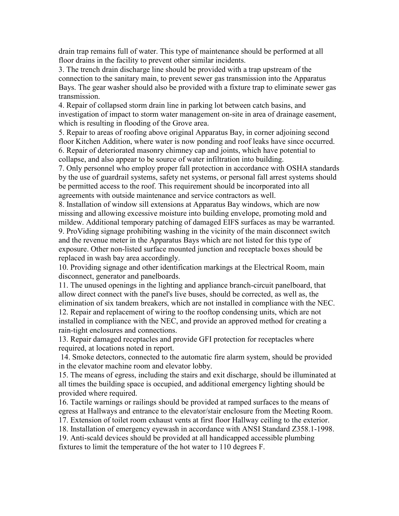drain trap remains full of water. This type of maintenance should be performed at all floor drains in the facility to prevent other similar incidents.

3. The trench drain discharge line should be provided with a trap upstream of the connection to the sanitary main, to prevent sewer gas transmission into the Apparatus Bays. The gear washer should also be provided with a fixture trap to eliminate sewer gas transmission.

4. Repair of collapsed storm drain line in parking lot between catch basins, and investigation of impact to storm water management on-site in area of drainage easement, which is resulting in flooding of the Grove area.

5. Repair to areas of roofing above original Apparatus Bay, in corner adjoining second floor Kitchen Addition, where water is now ponding and roof leaks have since occurred. 6. Repair of deteriorated masonry chimney cap and joints, which have potential to collapse, and also appear to be source of water infiltration into building.

7. Only personnel who employ proper fall protection in accordance with OSHA standards by the use of guardrail systems, safety net systems, or personal fall arrest systems should be permitted access to the roof. This requirement should be incorporated into all agreements with outside maintenance and service contractors as well.

8. Installation of window sill extensions at Apparatus Bay windows, which are now missing and allowing excessive moisture into building envelope, promoting mold and mildew. Additional temporary patching of damaged EIFS surfaces as may be warranted. 9. ProViding signage prohibiting washing in the vicinity of the main disconnect switch and the revenue meter in the Apparatus Bays which are not listed for this type of exposure. Other non-listed surface mounted junction and receptacle boxes should be replaced in wash bay area accordingly.

10. Providing signage and other identification markings at the Electrical Room, main disconnect, generator and panelboards.

11. The unused openings in the lighting and appliance branch-circuit panelboard, that allow direct connect with the panel's live buses, should be corrected, as well as, the elimination of six tandem breakers, which are not installed in compliance with the NEC. 12. Repair and replacement of wiring to the rooftop condensing units, which are not installed in compliance with the NEC, and provide an approved method for creating a rain-tight enclosures and connections.

13. Repair damaged receptacles and provide GFI protection for receptacles where required, at locations noted in report.

 14. Smoke detectors, connected to the automatic fire alarm system, should be provided in the elevator machine room and elevator lobby.

15. The means of egress, including the stairs and exit discharge, should be illuminated at all times the building space is occupied, and additional emergency lighting should be provided where required.

16. Tactile warnings or railings should be provided at ramped surfaces to the means of egress at Hallways and entrance to the elevator/stair enclosure from the Meeting Room.

17. Extension of toilet room exhaust vents at first floor Hallway ceiling to the exterior.

18. Installation of emergency eyewash in accordance with ANSI Standard Z358.1-1998.

19. Anti-scald devices should be provided at all handicapped accessible plumbing fixtures to limit the temperature of the hot water to 110 degrees F.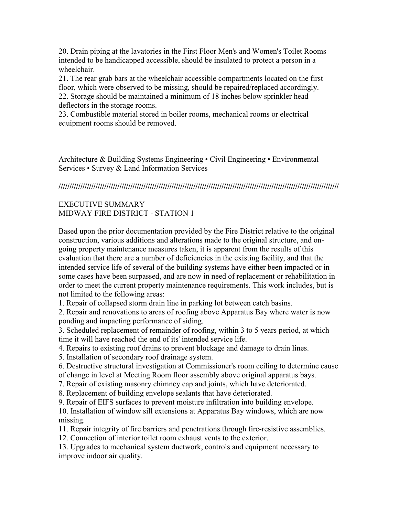20. Drain piping at the lavatories in the First Floor Men's and Women's Toilet Rooms intended to be handicapped accessible, should be insulated to protect a person in a wheelchair.

21. The rear grab bars at the wheelchair accessible compartments located on the first floor, which were observed to be missing, should be repaired/replaced accordingly. 22. Storage should be maintained a minimum of 18 inches below sprinkler head deflectors in the storage rooms.

23. Combustible material stored in boiler rooms, mechanical rooms or electrical equipment rooms should be removed.

Architecture & Building Systems Engineering • Civil Engineering • Environmental Services • Survey & Land Information Services

**/////////////////////////////////////////////////////////////////////////////////////////////////////////////////////////////////** 

## EXECUTIVE SUMMARY MIDWAY FIRE DISTRICT - STATION 1

Based upon the prior documentation provided by the Fire District relative to the original construction, various additions and alterations made to the original structure, and ongoing property maintenance measures taken, it is apparent from the results of this evaluation that there are a number of deficiencies in the existing facility, and that the intended service life of several of the building systems have either been impacted or in some cases have been surpassed, and are now in need of replacement or rehabilitation in order to meet the current property maintenance requirements. This work includes, but is not limited to the following areas:

1. Repair of collapsed storm drain line in parking lot between catch basins.

2. Repair and renovations to areas of roofing above Apparatus Bay where water is now ponding and impacting performance of siding.

3. Scheduled replacement of remainder of roofing, within 3 to 5 years period, at which time it will have reached the end of its' intended service life.

4. Repairs to existing roof drains to prevent blockage and damage to drain lines.

5. Installation of secondary roof drainage system.

6. Destructive structural investigation at Commissioner's room ceiling to determine cause

of change in level at Meeting Room floor assembly above original apparatus bays.

7. Repair of existing masonry chimney cap and joints, which have deteriorated.

8. Replacement of building envelope sealants that have deteriorated.

9. Repair of EIFS surfaces to prevent moisture infiltration into building envelope.

10. Installation of window sill extensions at Apparatus Bay windows, which are now missing.

11. Repair integrity of fire barriers and penetrations through fire-resistive assemblies.

12. Connection of interior toilet room exhaust vents to the exterior.

13. Upgrades to mechanical system ductwork, controls and equipment necessary to improve indoor air quality.